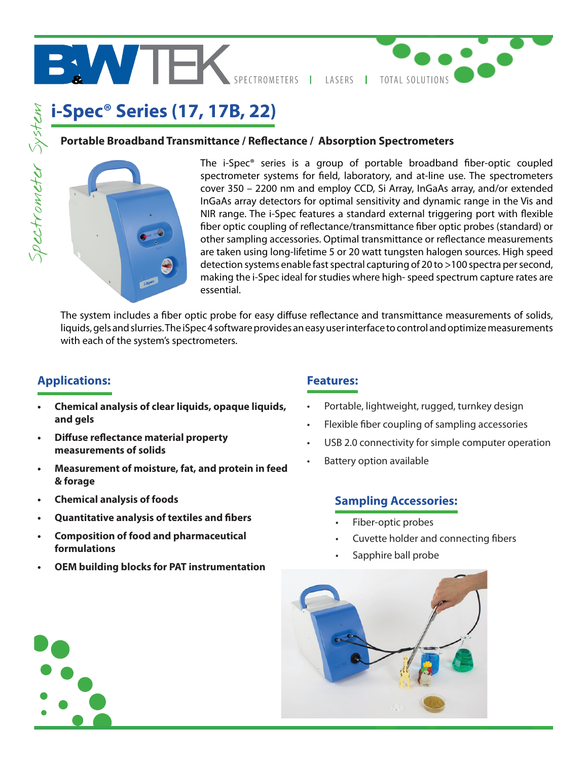

# **i-Spec® Series (17, 17B, 22)** Spectrometer System Spectrometer System

### **Portable Broadband Transmittance / Reflectance / Absorption Spectrometers**



The i-Spec® series is a group of portable broadband fiber-optic coupled spectrometer systems for field, laboratory, and at-line use. The spectrometers cover 350 – 2200 nm and employ CCD, Si Array, InGaAs array, and/or extended InGaAs array detectors for optimal sensitivity and dynamic range in the Vis and NIR range. The i-Spec features a standard external triggering port with flexible fiber optic coupling of reflectance/transmittance fiber optic probes (standard) or other sampling accessories. Optimal transmittance or reflectance measurements are taken using long-lifetime 5 or 20 watt tungsten halogen sources. High speed detection systems enable fast spectral capturing of 20 to >100 spectra per second, making the i-Spec ideal for studies where high-speed spectrum capture rates are essential.

The system includes a fiber optic probe for easy diffuse reflectance and transmittance measurements of solids, liquids, gels and slurries. The iSpec 4 software provides an easy user interface to control and optimize measurements with each of the system's spectrometers.

## **Applications: Features:**

- **• Chemical analysis of clear liquids, opaque liquids, and gels**
- **• Diffuse reflectance material property measurements of solids**
- **• Measurement of moisture, fat, and protein in feed & forage**
- **Chemical analysis of foods**
- **• Quantitative analysis of textiles and fibers**
- **• Composition of food and pharmaceutical formulations**
- **OEM building blocks for PAT instrumentation**

- Portable, lightweight, rugged, turnkey design
- Flexible fiber coupling of sampling accessories
- USB 2.0 connectivity for simple computer operation
- **Battery option available**

## **Sampling Accessories:**

- Fiber-optic probes
- Cuvette holder and connecting fibers
- Sapphire ball probe